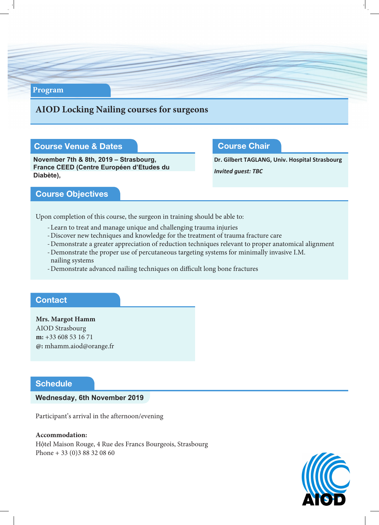#### **Program**

### **AIOD Locking Nailing courses for surgeons**

### Course Venue & Dates

**November 7th & 8th, 2019 – Strasbourg, France CEED (Centre Européen d'Etudes du Diabète),**

#### Course Chair

**Dr. Gilbert TAGLANG, Univ. Hospital Strasbourg** *Invited guest: TBC*

#### Course Objectives

Upon completion of this course, the surgeon in training should be able to:

- -Learn to treat and manage unique and challenging trauma injuries
- -Discover new techniques and knowledge for the treatment of trauma fracture care
- -Demonstrate a greater appreciation of reduction techniques relevant to proper anatomical alignment
- -Demonstrate the proper use of percutaneous targeting systems for minimally invasive I.M. nailing systems
- -Demonstrate advanced nailing techniques on difficult long bone fractures

#### **Contact**

**Mrs. Margot Hamm** AIOD Strasbourg **m:** +33 608 53 16 71 **@:** mhamm.aiod@orange.fr

### **Schedule**

#### **Wednesday, 6th November 2019**

Participant's arrival in the afternoon/evening

**Accommodation:** Hộtel Maison Rouge, 4 Rue des Francs Bourgeois, Strasbourg Phone + 33 (0)3 88 32 08 60